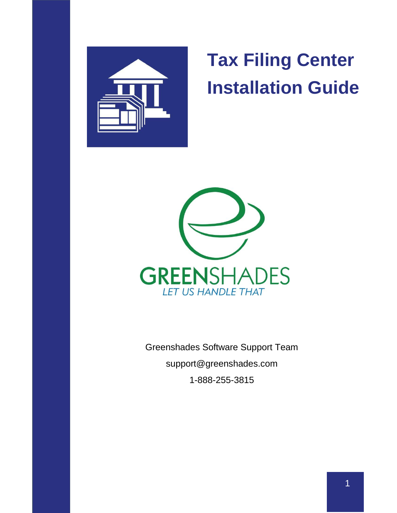

# **Tax Filing Center Installation Guide**



Greenshades Software Support Tea[m](mailto:support@greenshades.com) [support@greenshades.com](mailto:support@greenshades.com) 1-888-255-3815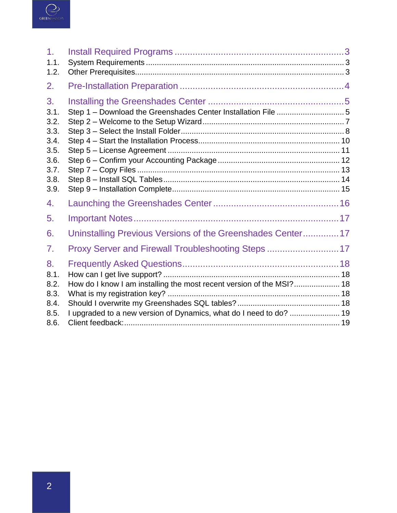

| 1 <sub>1</sub><br>1.1.                                                     |                                                                      |  |
|----------------------------------------------------------------------------|----------------------------------------------------------------------|--|
| 1.2.                                                                       |                                                                      |  |
| 2.                                                                         |                                                                      |  |
| 3.<br>3.1.<br>3.2.<br>3.3.<br>3.4.<br>3.5.<br>3.6.<br>3.7.<br>3.8.<br>3.9. |                                                                      |  |
| 4.                                                                         |                                                                      |  |
| 5.                                                                         |                                                                      |  |
| 6.                                                                         | Uninstalling Previous Versions of the Greenshades Center 17          |  |
| 7.                                                                         | Proxy Server and Firewall Troubleshooting Steps  17                  |  |
| 8.<br>8.1.                                                                 |                                                                      |  |
| 8.2.<br>8.3.                                                               | How do I know I am installing the most recent version of the MSI? 18 |  |
| 8.4.                                                                       |                                                                      |  |
| 8.5.                                                                       | I upgraded to a new version of Dynamics, what do I need to do?  19   |  |
| 8.6.                                                                       |                                                                      |  |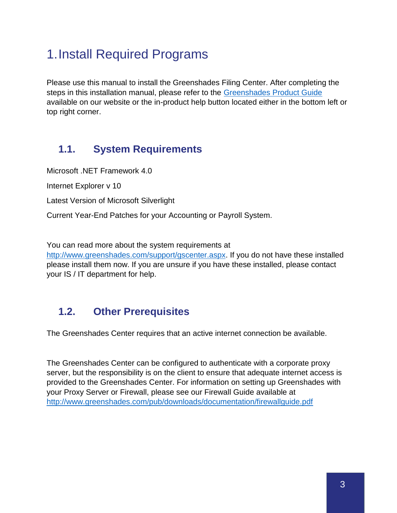# <span id="page-2-0"></span>1.Install Required Programs

Please use this manual to install the Greenshades Filing Center. After completing the steps in this installation manual, please refer to the [Greenshades Product Guide](http://www.greenshades.com/pub/downloads/documentation/GSC.pdf) available on our website or the in-product help button located either in the bottom left or top right corner.

### <span id="page-2-1"></span>**1.1. System Requirements**

Microsoft .NET Framework 4.0 Internet Explorer v 10 Latest Version of Microsoft Silverlight Current Year-End Patches for your Accounting or Payroll System.

You can read more about the system requirements at

[http://www.greenshades.com/support/gscenter.aspx.](http://www.greenshades.com/support/gscenter.aspx) If you do not have these installed please install them now. If you are unsure if you have these installed, please contact your IS / IT department for help.

### <span id="page-2-2"></span>**1.2. Other Prerequisites**

The Greenshades Center requires that an active internet connection be available.

The Greenshades Center can be configured to authenticate with a corporate proxy server, but the responsibility is on the client to ensure that adequate internet access is provided to the Greenshades Center. For information on setting up Greenshades with your Proxy Server or Firewall, please see our Firewall Guide available at <http://www.greenshades.com/pub/downloads/documentation/firewallguide.pdf>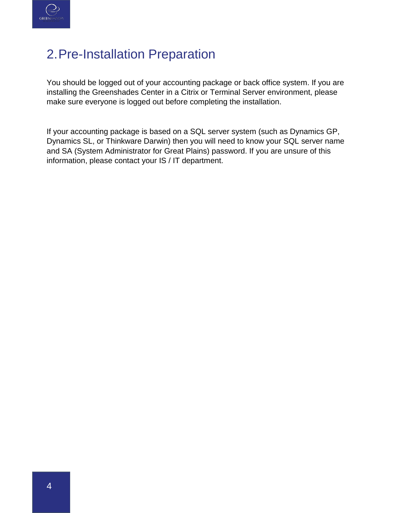

# <span id="page-3-0"></span>2.Pre-Installation Preparation

You should be logged out of your accounting package or back office system. If you are installing the Greenshades Center in a Citrix or Terminal Server environment, please make sure everyone is logged out before completing the installation.

If your accounting package is based on a SQL server system (such as Dynamics GP, Dynamics SL, or Thinkware Darwin) then you will need to know your SQL server name and SA (System Administrator for Great Plains) password. If you are unsure of this information, please contact your IS / IT department.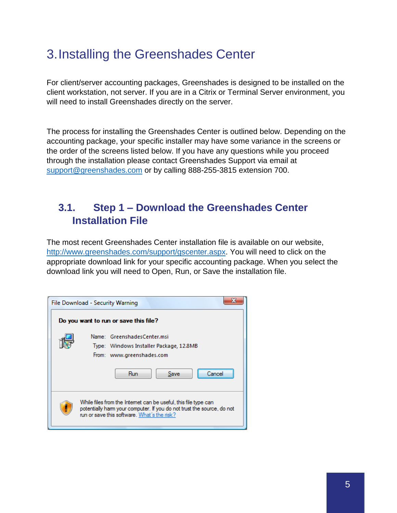# <span id="page-4-0"></span>3.Installing the Greenshades Center

For client/server accounting packages, Greenshades is designed to be installed on the client workstation, not server. If you are in a Citrix or Terminal Server environment, you will need to install Greenshades directly on the server.

The process for installing the Greenshades Center is outlined below. Depending on the accounting package, your specific installer may have some variance in the screens or the order of the screens listed below. If you have any questions while you proceed through the installation please contact Greenshades Support via email at [support@greenshades.com](mailto:support@greenshades.com) or by calling 888-255-3815 extension 700.

### <span id="page-4-1"></span>**3.1. Step 1 – Download the Greenshades Center Installation File**

The most recent Greenshades Center installation file is available on our website, [http://www.greenshades.com/support/gscenter.aspx.](http://www.greenshades.com/support/gscenter.aspx) You will need to click on the appropriate download link for your specific accounting package. When you select the download link you will need to Open, Run, or Save the installation file.

| File Download - Security Warning |                                                                                                                                                                                          |  |  |  |
|----------------------------------|------------------------------------------------------------------------------------------------------------------------------------------------------------------------------------------|--|--|--|
|                                  | Do you want to run or save this file?                                                                                                                                                    |  |  |  |
|                                  | Name: GreenshadesCenter.msi<br>Type: Windows Installer Package, 12.8MB<br>From: www.greenshades.com<br>Run<br>Save<br>Cancel                                                             |  |  |  |
|                                  | While files from the Internet can be useful, this file type can<br>potentially harm your computer. If you do not trust the source, do not<br>run or save this software. What's the risk? |  |  |  |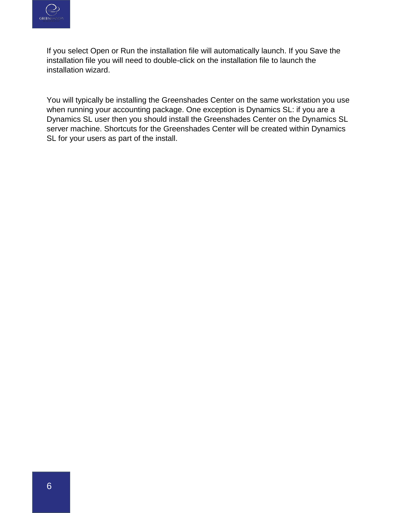

If you select Open or Run the installation file will automatically launch. If you Save the installation file you will need to double-click on the installation file to launch the installation wizard.

You will typically be installing the Greenshades Center on the same workstation you use when running your accounting package. One exception is Dynamics SL: if you are a Dynamics SL user then you should install the Greenshades Center on the Dynamics SL server machine. Shortcuts for the Greenshades Center will be created within Dynamics SL for your users as part of the install.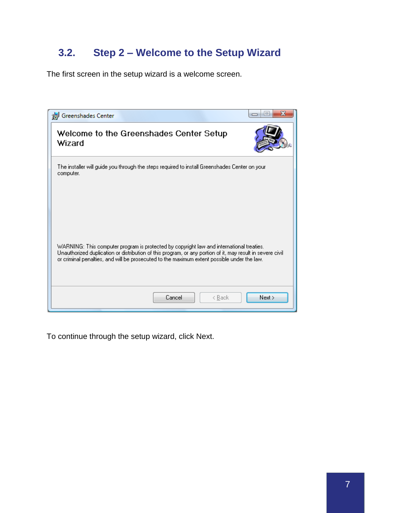### <span id="page-6-0"></span>**3.2. Step 2 – Welcome to the Setup Wizard**

The first screen in the setup wizard is a welcome screen.

| Greenshades Center                                                                                                                                                                                                                                                                                    |      |
|-------------------------------------------------------------------------------------------------------------------------------------------------------------------------------------------------------------------------------------------------------------------------------------------------------|------|
| Welcome to the Greenshades Center Setup<br>Wizard                                                                                                                                                                                                                                                     |      |
| The installer will guide you through the steps required to install Greenshades Center on your<br>computer.                                                                                                                                                                                            |      |
| WARNING: This computer program is protected by copyright law and international treaties.<br>Unauthorized duplication or distribution of this program, or any portion of it, may result in severe civil<br>or criminal penalties, and will be prosecuted to the maximum extent possible under the law. |      |
| Cancel<br>< Back                                                                                                                                                                                                                                                                                      | Next |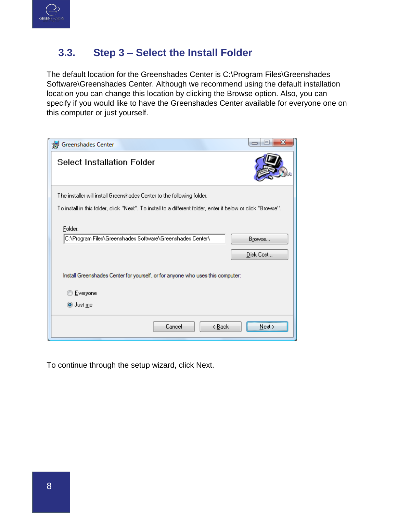

### <span id="page-7-0"></span>**3.3. Step 3 – Select the Install Folder**

The default location for the Greenshades Center is C:\Program Files\Greenshades Software\Greenshades Center. Although we recommend using the default installation location you can change this location by clicking the Browse option. Also, you can specify if you would like to have the Greenshades Center available for everyone one on this computer or just yourself.

| Greenshades Center                                                                                           | $\Box$              |
|--------------------------------------------------------------------------------------------------------------|---------------------|
| <b>Select Installation Folder</b>                                                                            |                     |
| The installer will install Greenshades Center to the following folder.                                       |                     |
| To install in this folder, click "Next". To install to a different folder, enter it below or click "Browse". |                     |
| Folder:<br>C:\Program Files\Greenshades Software\Greenshades Center\                                         | Browse<br>Disk Cost |
| Install Greenshades Center for yourself, or for anyone who uses this computer:                               |                     |
| Everyone                                                                                                     |                     |
| ◉ Just me                                                                                                    |                     |
| Cancel<br>< <u>B</u> ack                                                                                     | Next >              |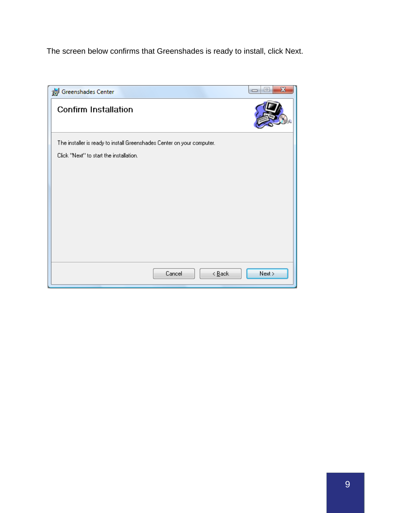The screen below confirms that Greenshades is ready to install, click Next.

| Greenshades Center                                                     | x<br>$\qquad \qquad \Box$<br>$\Box$ |
|------------------------------------------------------------------------|-------------------------------------|
| <b>Confirm Installation</b>                                            |                                     |
| The installer is ready to install Greenshades Center on your computer. |                                     |
| Click "Next" to start the installation.                                |                                     |
|                                                                        |                                     |
|                                                                        |                                     |
|                                                                        |                                     |
|                                                                        |                                     |
|                                                                        |                                     |
|                                                                        |                                     |
|                                                                        |                                     |
|                                                                        |                                     |
| $\leq$ $\underline{B}$ ack<br>Cancel                                   | Next                                |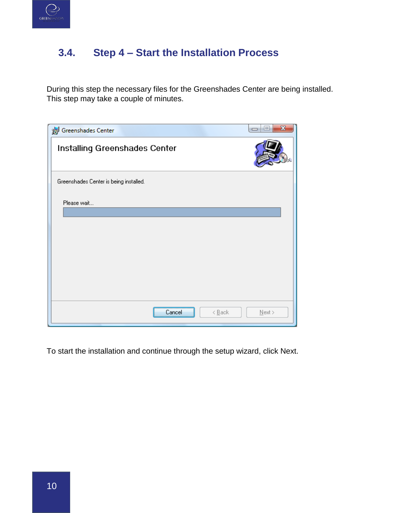

### <span id="page-9-0"></span>**3.4. Step 4 – Start the Installation Process**

During this step the necessary files for the Greenshades Center are being installed. This step may take a couple of minutes.

| Greenshades Center                     | x<br>$=$<br>$\Box$ |
|----------------------------------------|--------------------|
| Installing Greenshades Center          |                    |
| Greenshades Center is being installed. |                    |
| Please wait                            |                    |
| $\leq$ Back<br>Cancel                  | $N$ ext >          |

To start the installation and continue through the setup wizard, click Next.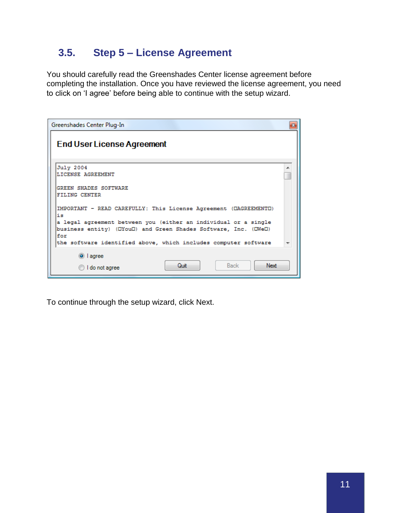### <span id="page-10-0"></span>**3.5. Step 5 – License Agreement**

You should carefully read the Greenshades Center license agreement before completing the installation. Once you have reviewed the license agreement, you need to click on 'I agree' before being able to continue with the setup wizard.

| Greenshades Center Plug-In                                                                                                                |  |
|-------------------------------------------------------------------------------------------------------------------------------------------|--|
| <b>End User License Agreement</b>                                                                                                         |  |
| July 2004<br>LICENSE AGREEMENT                                                                                                            |  |
| <b>GREEN SHADES SOFTWARE</b><br>FILING CENTER                                                                                             |  |
| IMPORTANT - READ CAREFULLY: This License Agreement (DAGREEMENTO)<br>iя                                                                    |  |
| a legal agreement between you (either an individual or a single<br>business entity) (DYouD) and Green Shades Software, Inc. (DWeD)<br>for |  |
| the software identified above, which includes computer software                                                                           |  |
| O lagree                                                                                                                                  |  |
| Quit<br>Next<br><b>Back</b><br>I do not agree                                                                                             |  |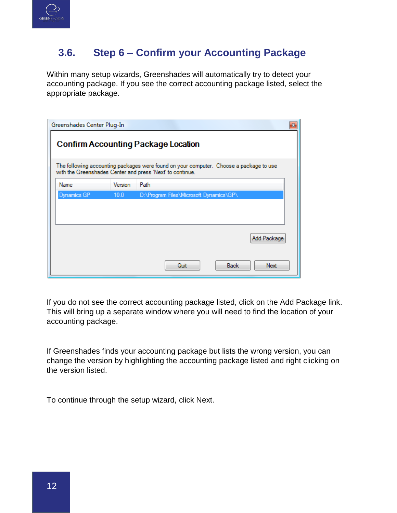

### <span id="page-11-0"></span>**3.6. Step 6 – Confirm your Accounting Package**

Within many setup wizards, Greenshades will automatically try to detect your accounting package. If you see the correct accounting package listed, select the appropriate package.

| Greenshades Center Plug-In                 |         |                                                                                                                                                     | 器 |
|--------------------------------------------|---------|-----------------------------------------------------------------------------------------------------------------------------------------------------|---|
| <b>Confirm Accounting Package Location</b> |         |                                                                                                                                                     |   |
|                                            |         | The following accounting packages were found on your computer. Choose a package to use<br>with the Greenshades Center and press 'Next' to continue. |   |
| <b>Name</b>                                | Version | Path                                                                                                                                                |   |
| Dynamics GP                                | 10.0    | D:\Program Files\Microsoft Dynamics\GP\                                                                                                             |   |
|                                            |         |                                                                                                                                                     |   |
|                                            |         |                                                                                                                                                     |   |
|                                            |         |                                                                                                                                                     |   |
|                                            |         | Add Package                                                                                                                                         |   |
|                                            |         |                                                                                                                                                     |   |
|                                            |         | Back<br>Quit<br>Next                                                                                                                                |   |

If you do not see the correct accounting package listed, click on the Add Package link. This will bring up a separate window where you will need to find the location of your accounting package.

If Greenshades finds your accounting package but lists the wrong version, you can change the version by highlighting the accounting package listed and right clicking on the version listed.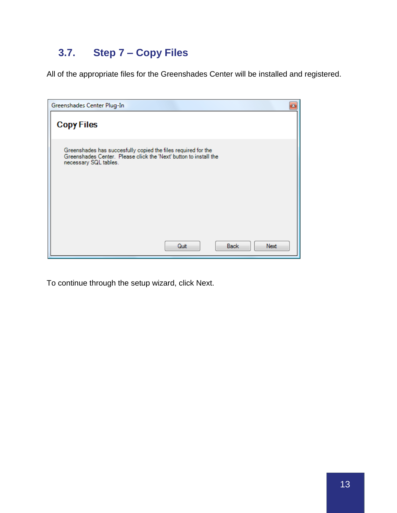## <span id="page-12-0"></span>**3.7. Step 7 – Copy Files**

All of the appropriate files for the Greenshades Center will be installed and registered.

| Greenshades Center Plug-In                                                                                                                                  | $\mathbf{x}$ |
|-------------------------------------------------------------------------------------------------------------------------------------------------------------|--------------|
| <b>Copy Files</b>                                                                                                                                           |              |
| Greenshades has succesfully copied the files required for the<br>Greenshades Center. Please click the 'Next' button to install the<br>necessary SQL tables. |              |
| <b>Back</b><br>Quit<br>Next                                                                                                                                 |              |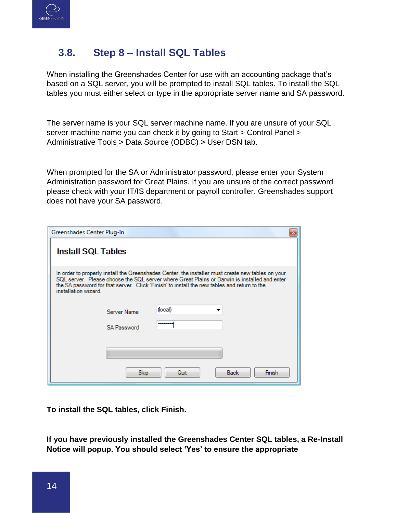

### <span id="page-13-0"></span>**3.8. Step 8 – Install SQL Tables**

When installing the Greenshades Center for use with an accounting package that's based on a SQL server, you will be prompted to install SQL tables. To install the SQL tables you must either select or type in the appropriate server name and SA password.

The server name is your SQL server machine name. If you are unsure of your SQL server machine name you can check it by going to Start > Control Panel > Administrative Tools > Data Source (ODBC) > User DSN tab.

When prompted for the SA or Administrator password, please enter your System Administration password for Great Plains. If you are unsure of the correct password please check with your IT/IS department or payroll controller. Greenshades support does not have your SA password.

| Greenshades Center Plug-In        |                                                                                                                                                                                                                                                                                                  |
|-----------------------------------|--------------------------------------------------------------------------------------------------------------------------------------------------------------------------------------------------------------------------------------------------------------------------------------------------|
| <b>Install SQL Tables</b>         |                                                                                                                                                                                                                                                                                                  |
| installation wizard.              | In order to properly install the Greenshades Center, the installer must create new tables on your<br>SQL server. Please choose the SQL server where Great Plains or Darwin is installed and enter<br>the SA password for that server. Click 'Finish' to install the new tables and return to the |
| Server Name<br><b>SA Password</b> | (local)<br>                                                                                                                                                                                                                                                                                      |
| Skip                              | Finish<br><b>Back</b><br>Quit                                                                                                                                                                                                                                                                    |

**To install the SQL tables, click Finish.**

**If you have previously installed the Greenshades Center SQL tables, a Re-Install Notice will popup. You should select 'Yes' to ensure the appropriate**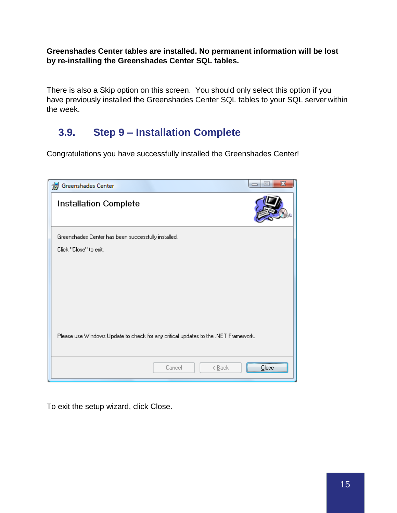**Greenshades Center tables are installed. No permanent information will be lost by re-installing the Greenshades Center SQL tables.**

There is also a Skip option on this screen. You should only select this option if you have previously installed the Greenshades Center SQL tables to your SQL server within the week.

### <span id="page-14-0"></span>**3.9. Step 9 – Installation Complete**

Congratulations you have successfully installed the Greenshades Center!

| Greenshades Center                                                                 | $\Box$ |
|------------------------------------------------------------------------------------|--------|
| <b>Installation Complete</b>                                                       |        |
| Greenshades Center has been successfully installed.                                |        |
| Click "Close" to exit.                                                             |        |
| Please use Windows Update to check for any critical updates to the .NET Framework. |        |
| Cancel<br>< <u>B</u> ack                                                           | Liose  |

To exit the setup wizard, click Close.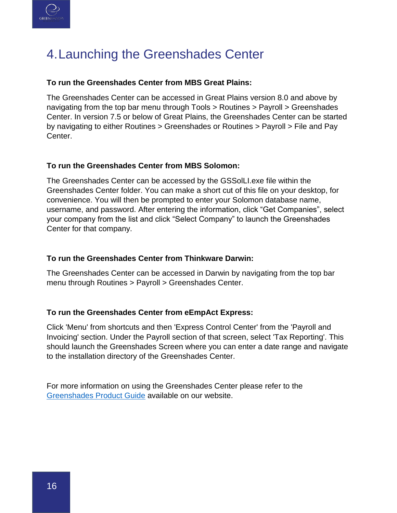

# <span id="page-15-0"></span>4.Launching the Greenshades Center

#### **To run the Greenshades Center from MBS Great Plains:**

The Greenshades Center can be accessed in Great Plains version 8.0 and above by navigating from the top bar menu through Tools > Routines > Payroll > Greenshades Center. In version 7.5 or below of Great Plains, the Greenshades Center can be started by navigating to either Routines > Greenshades or Routines > Payroll > File and Pay Center.

#### **To run the Greenshades Center from MBS Solomon:**

The Greenshades Center can be accessed by the GSSolLI.exe file within the Greenshades Center folder. You can make a short cut of this file on your desktop, for convenience. You will then be prompted to enter your Solomon database name, username, and password. After entering the information, click "Get Companies", select your company from the list and click "Select Company" to launch the Greenshades Center for that company.

#### **To run the Greenshades Center from Thinkware Darwin:**

The Greenshades Center can be accessed in Darwin by navigating from the top bar menu through Routines > Payroll > Greenshades Center.

#### **To run the Greenshades Center from eEmpAct Express:**

Click 'Menu' from shortcuts and then 'Express Control Center' from the 'Payroll and Invoicing' section. Under the Payroll section of that screen, select 'Tax Reporting'. This should launch the Greenshades Screen where you can enter a date range and navigate to the installation directory of the Greenshades Center.

For more information on using the Greenshades Center please refer to the [Greenshades Product Guide](http://www.greenshades.com/pub/downloads/documentation/GSC.pdf) available on our website.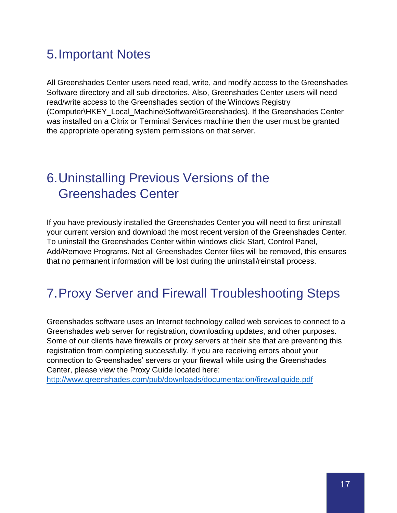# <span id="page-16-0"></span>5.Important Notes

All Greenshades Center users need read, write, and modify access to the Greenshades Software directory and all sub-directories. Also, Greenshades Center users will need read/write access to the Greenshades section of the Windows Registry (Computer\HKEY\_Local\_Machine\Software\Greenshades). If the Greenshades Center was installed on a Citrix or Terminal Services machine then the user must be granted the appropriate operating system permissions on that server.

# <span id="page-16-1"></span>6.Uninstalling Previous Versions of the Greenshades Center

If you have previously installed the Greenshades Center you will need to first uninstall your current version and download the most recent version of the Greenshades Center. To uninstall the Greenshades Center within windows click Start, Control Panel, Add/Remove Programs. Not all Greenshades Center files will be removed, this ensures that no permanent information will be lost during the uninstall/reinstall process.

### <span id="page-16-2"></span>7.Proxy Server and Firewall Troubleshooting Steps

Greenshades software uses an Internet technology called web services to connect to a Greenshades web server for registration, downloading updates, and other purposes. Some of our clients have firewalls or proxy servers at their site that are preventing this registration from completing successfully. If you are receiving errors about your connection to Greenshades' servers or your firewall while using the Greenshades Center, please view the Proxy Guide located here:

<http://www.greenshades.com/pub/downloads/documentation/firewallguide.pdf>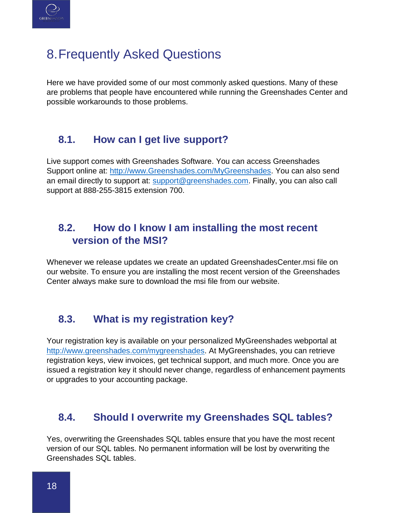

# <span id="page-17-0"></span>8.Frequently Asked Questions

Here we have provided some of our most commonly asked questions. Many of these are problems that people have encountered while running the Greenshades Center and possible workarounds to those problems.

### <span id="page-17-1"></span>**8.1. How can I get live support?**

Live support comes with Greenshades Software. You can access Greenshades Support online at: http://www.Greenshades.com/MyGreenshades</u>. You can also send an email directly to support at: [support@greenshades.com.](mailto:support@greenshades.com) Finally, you can also call support at 888-255-3815 extension 700.

### <span id="page-17-2"></span>**8.2. How do I know I am installing the most recent version of the MSI?**

Whenever we release updates we create an updated GreenshadesCenter.msi file on our website. To ensure you are installing the most recent version of the Greenshades Center always make sure to download the msi file from our website.

### <span id="page-17-3"></span>**8.3. What is my registration key?**

Your registration key is available on your personalized MyGreenshades webportal at [http://www.greenshades.com/mygreenshades.](http://www.greenshades.com/mygreenshades) At MyGreenshades, you can retrieve registration keys, view invoices, get technical support, and much more. Once you are issued a registration key it should never change, regardless of enhancement payments or upgrades to your accounting package.

### <span id="page-17-4"></span>**8.4. Should I overwrite my Greenshades SQL tables?**

Yes, overwriting the Greenshades SQL tables ensure that you have the most recent version of our SQL tables. No permanent information will be lost by overwriting the Greenshades SQL tables.